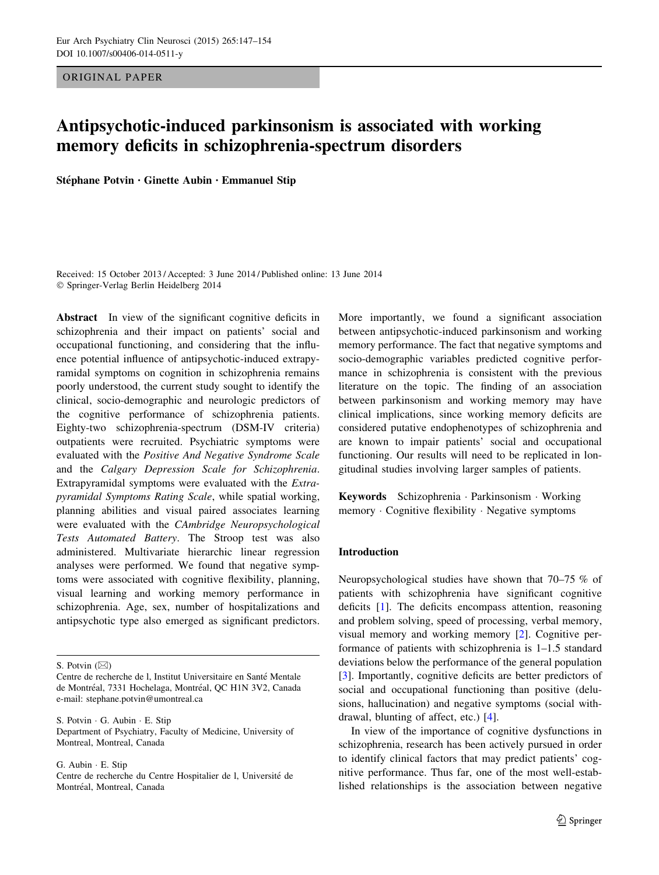ORIGINAL PAPER

# Antipsychotic-induced parkinsonism is associated with working memory deficits in schizophrenia-spectrum disorders

Stéphane Potvin · Ginette Aubin · Emmanuel Stip

Received: 15 October 2013 / Accepted: 3 June 2014 / Published online: 13 June 2014 - Springer-Verlag Berlin Heidelberg 2014

Abstract In view of the significant cognitive deficits in schizophrenia and their impact on patients' social and occupational functioning, and considering that the influence potential influence of antipsychotic-induced extrapyramidal symptoms on cognition in schizophrenia remains poorly understood, the current study sought to identify the clinical, socio-demographic and neurologic predictors of the cognitive performance of schizophrenia patients. Eighty-two schizophrenia-spectrum (DSM-IV criteria) outpatients were recruited. Psychiatric symptoms were evaluated with the Positive And Negative Syndrome Scale and the Calgary Depression Scale for Schizophrenia. Extrapyramidal symptoms were evaluated with the Extrapyramidal Symptoms Rating Scale, while spatial working, planning abilities and visual paired associates learning were evaluated with the CAmbridge Neuropsychological Tests Automated Battery. The Stroop test was also administered. Multivariate hierarchic linear regression analyses were performed. We found that negative symptoms were associated with cognitive flexibility, planning, visual learning and working memory performance in schizophrenia. Age, sex, number of hospitalizations and antipsychotic type also emerged as significant predictors.

S. Potvin - G. Aubin - E. Stip Department of Psychiatry, Faculty of Medicine, University of Montreal, Montreal, Canada

G. Aubin - E. Stip

Centre de recherche du Centre Hospitalier de l, Université de Montréal, Montreal, Canada

More importantly, we found a significant association between antipsychotic-induced parkinsonism and working memory performance. The fact that negative symptoms and socio-demographic variables predicted cognitive performance in schizophrenia is consistent with the previous literature on the topic. The finding of an association between parkinsonism and working memory may have clinical implications, since working memory deficits are considered putative endophenotypes of schizophrenia and are known to impair patients' social and occupational functioning. Our results will need to be replicated in longitudinal studies involving larger samples of patients.

Keywords Schizophrenia - Parkinsonism - Working memory - Cognitive flexibility - Negative symptoms

## Introduction

Neuropsychological studies have shown that 70–75 % of patients with schizophrenia have significant cognitive deficits [\[1](#page-6-0)]. The deficits encompass attention, reasoning and problem solving, speed of processing, verbal memory, visual memory and working memory [\[2](#page-6-0)]. Cognitive performance of patients with schizophrenia is 1–1.5 standard deviations below the performance of the general population [\[3](#page-6-0)]. Importantly, cognitive deficits are better predictors of social and occupational functioning than positive (delusions, hallucination) and negative symptoms (social withdrawal, blunting of affect, etc.) [\[4](#page-6-0)].

In view of the importance of cognitive dysfunctions in schizophrenia, research has been actively pursued in order to identify clinical factors that may predict patients' cognitive performance. Thus far, one of the most well-established relationships is the association between negative

S. Potvin  $(\boxtimes)$ 

Centre de recherche de l, Institut Universitaire en Santé Mentale de Montréal, 7331 Hochelaga, Montréal, QC H1N 3V2, Canada e-mail: stephane.potvin@umontreal.ca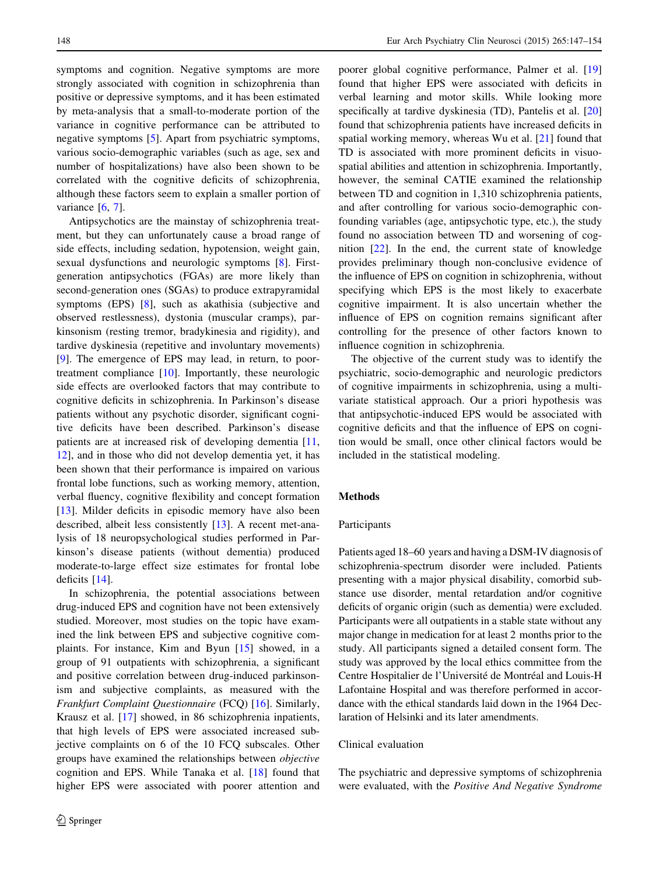symptoms and cognition. Negative symptoms are more strongly associated with cognition in schizophrenia than positive or depressive symptoms, and it has been estimated by meta-analysis that a small-to-moderate portion of the variance in cognitive performance can be attributed to negative symptoms [[5\]](#page-6-0). Apart from psychiatric symptoms, various socio-demographic variables (such as age, sex and number of hospitalizations) have also been shown to be correlated with the cognitive deficits of schizophrenia, although these factors seem to explain a smaller portion of variance [[6,](#page-6-0) [7](#page-6-0)].

Antipsychotics are the mainstay of schizophrenia treatment, but they can unfortunately cause a broad range of side effects, including sedation, hypotension, weight gain, sexual dysfunctions and neurologic symptoms [\[8](#page-6-0)]. Firstgeneration antipsychotics (FGAs) are more likely than second-generation ones (SGAs) to produce extrapyramidal symptoms (EPS) [\[8](#page-6-0)], such as akathisia (subjective and observed restlessness), dystonia (muscular cramps), parkinsonism (resting tremor, bradykinesia and rigidity), and tardive dyskinesia (repetitive and involuntary movements) [\[9](#page-6-0)]. The emergence of EPS may lead, in return, to poortreatment compliance [\[10](#page-6-0)]. Importantly, these neurologic side effects are overlooked factors that may contribute to cognitive deficits in schizophrenia. In Parkinson's disease patients without any psychotic disorder, significant cognitive deficits have been described. Parkinson's disease patients are at increased risk of developing dementia [[11,](#page-6-0) [12](#page-6-0)], and in those who did not develop dementia yet, it has been shown that their performance is impaired on various frontal lobe functions, such as working memory, attention, verbal fluency, cognitive flexibility and concept formation [\[13](#page-6-0)]. Milder deficits in episodic memory have also been described, albeit less consistently [[13\]](#page-6-0). A recent met-analysis of 18 neuropsychological studies performed in Parkinson's disease patients (without dementia) produced moderate-to-large effect size estimates for frontal lobe deficits [[14\]](#page-6-0).

In schizophrenia, the potential associations between drug-induced EPS and cognition have not been extensively studied. Moreover, most studies on the topic have examined the link between EPS and subjective cognitive complaints. For instance, Kim and Byun [[15\]](#page-6-0) showed, in a group of 91 outpatients with schizophrenia, a significant and positive correlation between drug-induced parkinsonism and subjective complaints, as measured with the Frankfurt Complaint Questionnaire (FCQ) [[16](#page-6-0)]. Similarly, Krausz et al. [\[17](#page-6-0)] showed, in 86 schizophrenia inpatients, that high levels of EPS were associated increased subjective complaints on 6 of the 10 FCQ subscales. Other groups have examined the relationships between objective cognition and EPS. While Tanaka et al. [[18\]](#page-6-0) found that higher EPS were associated with poorer attention and poorer global cognitive performance, Palmer et al. [[19\]](#page-6-0) found that higher EPS were associated with deficits in verbal learning and motor skills. While looking more specifically at tardive dyskinesia (TD), Pantelis et al. [[20\]](#page-6-0) found that schizophrenia patients have increased deficits in spatial working memory, whereas Wu et al. [\[21](#page-6-0)] found that TD is associated with more prominent deficits in visuospatial abilities and attention in schizophrenia. Importantly, however, the seminal CATIE examined the relationship between TD and cognition in 1,310 schizophrenia patients, and after controlling for various socio-demographic confounding variables (age, antipsychotic type, etc.), the study found no association between TD and worsening of cognition [\[22](#page-6-0)]. In the end, the current state of knowledge provides preliminary though non-conclusive evidence of the influence of EPS on cognition in schizophrenia, without specifying which EPS is the most likely to exacerbate cognitive impairment. It is also uncertain whether the influence of EPS on cognition remains significant after controlling for the presence of other factors known to influence cognition in schizophrenia.

The objective of the current study was to identify the psychiatric, socio-demographic and neurologic predictors of cognitive impairments in schizophrenia, using a multivariate statistical approach. Our a priori hypothesis was that antipsychotic-induced EPS would be associated with cognitive deficits and that the influence of EPS on cognition would be small, once other clinical factors would be included in the statistical modeling.

## Methods

## Participants

Patients aged 18–60 years and having a DSM-IV diagnosis of schizophrenia-spectrum disorder were included. Patients presenting with a major physical disability, comorbid substance use disorder, mental retardation and/or cognitive deficits of organic origin (such as dementia) were excluded. Participants were all outpatients in a stable state without any major change in medication for at least 2 months prior to the study. All participants signed a detailed consent form. The study was approved by the local ethics committee from the Centre Hospitalier de l'Université de Montréal and Louis-H Lafontaine Hospital and was therefore performed in accordance with the ethical standards laid down in the 1964 Declaration of Helsinki and its later amendments.

### Clinical evaluation

The psychiatric and depressive symptoms of schizophrenia were evaluated, with the Positive And Negative Syndrome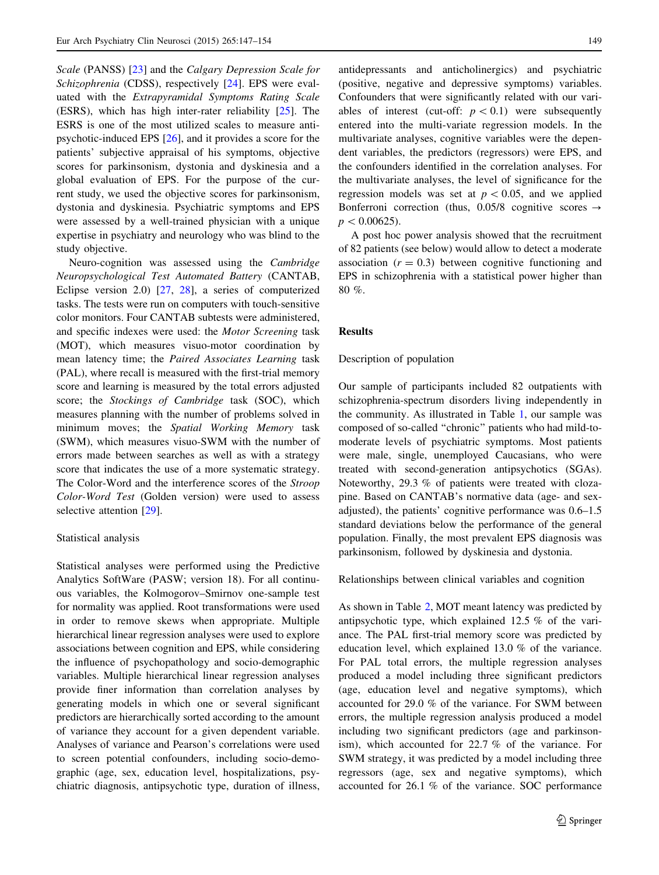Scale (PANSS) [[23\]](#page-6-0) and the Calgary Depression Scale for Schizophrenia (CDSS), respectively [\[24](#page-6-0)]. EPS were evaluated with the Extrapyramidal Symptoms Rating Scale (ESRS), which has high inter-rater reliability [[25\]](#page-6-0). The ESRS is one of the most utilized scales to measure antipsychotic-induced EPS [\[26](#page-6-0)], and it provides a score for the patients' subjective appraisal of his symptoms, objective scores for parkinsonism, dystonia and dyskinesia and a global evaluation of EPS. For the purpose of the current study, we used the objective scores for parkinsonism, dystonia and dyskinesia. Psychiatric symptoms and EPS were assessed by a well-trained physician with a unique expertise in psychiatry and neurology who was blind to the study objective.

Neuro-cognition was assessed using the Cambridge Neuropsychological Test Automated Battery (CANTAB, Eclipse version 2.0) [[27,](#page-6-0) [28](#page-6-0)], a series of computerized tasks. The tests were run on computers with touch-sensitive color monitors. Four CANTAB subtests were administered, and specific indexes were used: the Motor Screening task (MOT), which measures visuo-motor coordination by mean latency time; the Paired Associates Learning task (PAL), where recall is measured with the first-trial memory score and learning is measured by the total errors adjusted score; the Stockings of Cambridge task (SOC), which measures planning with the number of problems solved in minimum moves; the Spatial Working Memory task (SWM), which measures visuo-SWM with the number of errors made between searches as well as with a strategy score that indicates the use of a more systematic strategy. The Color-Word and the interference scores of the Stroop Color-Word Test (Golden version) were used to assess selective attention [\[29](#page-6-0)].

#### Statistical analysis

Statistical analyses were performed using the Predictive Analytics SoftWare (PASW; version 18). For all continuous variables, the Kolmogorov–Smirnov one-sample test for normality was applied. Root transformations were used in order to remove skews when appropriate. Multiple hierarchical linear regression analyses were used to explore associations between cognition and EPS, while considering the influence of psychopathology and socio-demographic variables. Multiple hierarchical linear regression analyses provide finer information than correlation analyses by generating models in which one or several significant predictors are hierarchically sorted according to the amount of variance they account for a given dependent variable. Analyses of variance and Pearson's correlations were used to screen potential confounders, including socio-demographic (age, sex, education level, hospitalizations, psychiatric diagnosis, antipsychotic type, duration of illness,

antidepressants and anticholinergics) and psychiatric (positive, negative and depressive symptoms) variables. Confounders that were significantly related with our variables of interest (cut-off:  $p < 0.1$ ) were subsequently entered into the multi-variate regression models. In the multivariate analyses, cognitive variables were the dependent variables, the predictors (regressors) were EPS, and the confounders identified in the correlation analyses. For the multivariate analyses, the level of significance for the regression models was set at  $p < 0.05$ , and we applied Bonferroni correction (thus, 0.05/8 cognitive scores  $\rightarrow$  $p<0.00625$ ).

A post hoc power analysis showed that the recruitment of 82 patients (see below) would allow to detect a moderate association  $(r = 0.3)$  between cognitive functioning and EPS in schizophrenia with a statistical power higher than 80 %.

#### Results

#### Description of population

Our sample of participants included 82 outpatients with schizophrenia-spectrum disorders living independently in the community. As illustrated in Table [1](#page-3-0), our sample was composed of so-called ''chronic'' patients who had mild-tomoderate levels of psychiatric symptoms. Most patients were male, single, unemployed Caucasians, who were treated with second-generation antipsychotics (SGAs). Noteworthy, 29.3 % of patients were treated with clozapine. Based on CANTAB's normative data (age- and sexadjusted), the patients' cognitive performance was 0.6–1.5 standard deviations below the performance of the general population. Finally, the most prevalent EPS diagnosis was parkinsonism, followed by dyskinesia and dystonia.

Relationships between clinical variables and cognition

As shown in Table [2](#page-3-0), MOT meant latency was predicted by antipsychotic type, which explained 12.5 % of the variance. The PAL first-trial memory score was predicted by education level, which explained 13.0 % of the variance. For PAL total errors, the multiple regression analyses produced a model including three significant predictors (age, education level and negative symptoms), which accounted for 29.0 % of the variance. For SWM between errors, the multiple regression analysis produced a model including two significant predictors (age and parkinsonism), which accounted for 22.7 % of the variance. For SWM strategy, it was predicted by a model including three regressors (age, sex and negative symptoms), which accounted for 26.1 % of the variance. SOC performance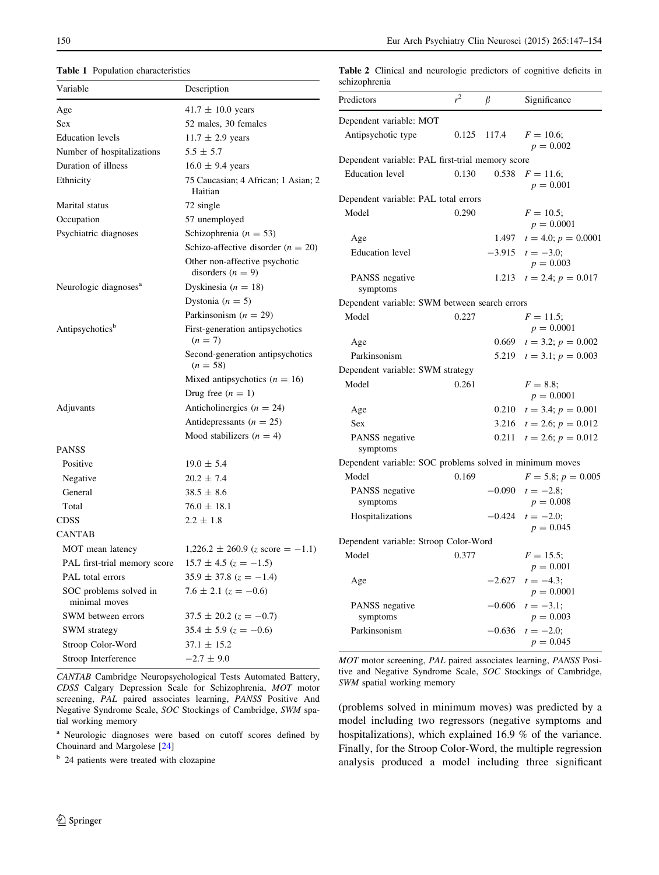<span id="page-3-0"></span>

|  |  | <b>Table 1</b> Population characteristics |
|--|--|-------------------------------------------|
|--|--|-------------------------------------------|

Table 2 Clinical and neurologic predictors of cognitive deficits in schizophrenia

| Variable                                | Description                                                 | $50.1120$ pm $0.114$                                             |                                       |             |                                               |  |
|-----------------------------------------|-------------------------------------------------------------|------------------------------------------------------------------|---------------------------------------|-------------|-----------------------------------------------|--|
|                                         |                                                             | Predictors                                                       | r <sup>2</sup>                        | $\beta$     | Significance                                  |  |
| Age<br>Sex                              | $41.7 \pm 10.0$ years<br>52 males, 30 females               | Dependent variable: MOT                                          |                                       |             |                                               |  |
| <b>Education</b> levels                 | $11.7 \pm 2.9$ years                                        | Antipsychotic type                                               |                                       | 0.125 117.4 | $F = 10.6;$                                   |  |
| Number of hospitalizations              | $5.5 \pm 5.7$                                               |                                                                  |                                       |             | $p = 0.002$                                   |  |
| Duration of illness                     | $16.0 \pm 9.4$ years                                        | Dependent variable: PAL first-trial memory score                 |                                       |             |                                               |  |
| Ethnicity                               | 75 Caucasian; 4 African; 1 Asian; 2<br>Haitian              | <b>Education</b> level                                           | 0.130                                 |             | $0.538$ $F = 11.6$ ;<br>$p = 0.001$           |  |
| Marital status                          | 72 single                                                   | Dependent variable: PAL total errors                             |                                       |             |                                               |  |
| Occupation                              | 57 unemployed                                               | Model                                                            | 0.290                                 |             | $F = 10.5$ ;                                  |  |
| Psychiatric diagnoses                   | Schizophrenia ( $n = 53$ )                                  |                                                                  |                                       |             | $p = 0.0001$                                  |  |
|                                         | Schizo-affective disorder ( $n = 20$ )                      | Age                                                              |                                       | 1.497       | $t = 4.0; p = 0.0001$                         |  |
|                                         | Other non-affective psychotic<br>disorders $(n = 9)$        | <b>Education</b> level                                           |                                       | $-3.915$    | $t = -3.0$ ;<br>$p = 0.003$                   |  |
| Neurologic diagnoses <sup>a</sup>       | Dyskinesia ( $n = 18$ )                                     | PANSS negative<br>symptoms                                       |                                       |             | 1.213 $t = 2.4$ ; $p = 0.017$                 |  |
|                                         | Dystonia ( $n = 5$ )                                        | Dependent variable: SWM between search errors                    |                                       |             |                                               |  |
|                                         | Parkinsonism ( $n = 29$ )                                   | Model                                                            | 0.227                                 |             | $F = 11.5$ ;                                  |  |
| Antipsychotics <sup>b</sup>             | First-generation antipsychotics<br>$(n = 7)$                | Age                                                              |                                       |             | $p = 0.0001$<br>0.669 $t = 3.2$ ; $p = 0.002$ |  |
|                                         | Second-generation antipsychotics                            | Parkinsonism                                                     |                                       |             | 5.219 $t = 3.1$ ; $p = 0.003$                 |  |
|                                         | $(n = 58)$                                                  | Dependent variable: SWM strategy                                 |                                       |             |                                               |  |
|                                         | Mixed antipsychotics $(n = 16)$                             | Model                                                            | 0.261                                 |             | $F = 8.8;$                                    |  |
|                                         | Drug free $(n = 1)$                                         |                                                                  |                                       |             | $p = 0.0001$                                  |  |
| Adjuvants                               | Anticholinergics ( $n = 24$ )                               | Age                                                              |                                       |             | 0.210 $t = 3.4$ ; $p = 0.001$                 |  |
|                                         | Antidepressants ( $n = 25$ )                                | Sex                                                              |                                       |             | 3.216 $t = 2.6$ ; $p = 0.012$                 |  |
|                                         | Mood stabilizers $(n = 4)$                                  | PANSS negative                                                   |                                       |             | 0.211 $t = 2.6$ ; $p = 0.012$                 |  |
| PANSS                                   |                                                             | symptoms                                                         |                                       |             |                                               |  |
| Positive                                | $19.0 \pm 5.4$                                              | Dependent variable: SOC problems solved in minimum moves         |                                       |             |                                               |  |
| Negative                                | $20.2 \pm 7.4$                                              | Model                                                            | 0.169                                 |             | $F = 5.8; p = 0.005$                          |  |
| General                                 | $38.5 \pm 8.6$                                              | PANSS negative                                                   |                                       |             | $-0.090$ $t = -2.8;$                          |  |
| Total                                   | $76.0 \pm 18.1$                                             | symptoms                                                         |                                       |             | $p = 0.008$                                   |  |
| CDSS                                    | $2.2 \pm 1.8$                                               | Hospitalizations                                                 |                                       |             | $-0.424$ $t = -2.0$ ;<br>$p = 0.045$          |  |
| <b>CANTAB</b>                           |                                                             |                                                                  |                                       |             |                                               |  |
| MOT mean latency                        | $1,226.2 \pm 260.9$ (z score = -1.1)                        | Model                                                            | Dependent variable: Stroop Color-Word |             | $F = 15.5$ ;                                  |  |
| PAL first-trial memory score            | $15.7 \pm 4.5 (z = -1.5)$                                   |                                                                  | 0.377                                 |             | $p = 0.001$                                   |  |
| PAL total errors                        | $35.9 \pm 37.8$ ( $z = -1.4$ )                              | $\rm Age$                                                        |                                       |             | $-2.627$ $t = -4.3;$                          |  |
| SOC problems solved in<br>minimal moves | $7.6 \pm 2.1 (z = -0.6)$                                    | PANSS negative                                                   |                                       |             | $p = 0.0001$<br>$-0.606$ $t = -3.1;$          |  |
| SWM between errors                      | 37.5 $\pm$ 20.2 $(z=-0.7)$                                  | symptoms                                                         |                                       |             | $p = 0.003$                                   |  |
| <b>SWM</b> strategy                     | $35.4 \pm 5.9 (z = -0.6)$                                   | Parkinsonism                                                     |                                       | $-0.636$    | $t = -2.0;$                                   |  |
| Stroop Color-Word                       | $37.1 \pm 15.2$                                             |                                                                  |                                       |             | $p = 0.045$                                   |  |
| Stroop Interference                     | $-2.7 \pm 9.0$                                              | MOT motor screening, PAL paired associates learning, PANSS Posi- |                                       |             |                                               |  |
|                                         | CANTAR Cambridge Neuropsychological Tests Automated Battery | tive and Negative Syndrome Scale, SOC Stockings of Cambridge,    |                                       |             |                                               |  |

CANTAB Cambridge Neuropsychological Tests Automated Battery, CDSS Calgary Depression Scale for Schizophrenia, MOT motor screening, PAL paired associates learning, PANSS Positive And Negative Syndrome Scale, SOC Stockings of Cambridge, SWM spatial working memory

<sup>a</sup> Neurologic diagnoses were based on cutoff scores defined by Chouinard and Margolese [\[24\]](#page-6-0)

<sup>b</sup> 24 patients were treated with clozapine

(problems solved in minimum moves) was predicted by a model including two regressors (negative symptoms and hospitalizations), which explained 16.9 % of the variance. Finally, for the Stroop Color-Word, the multiple regression analysis produced a model including three significant

SWM spatial working memory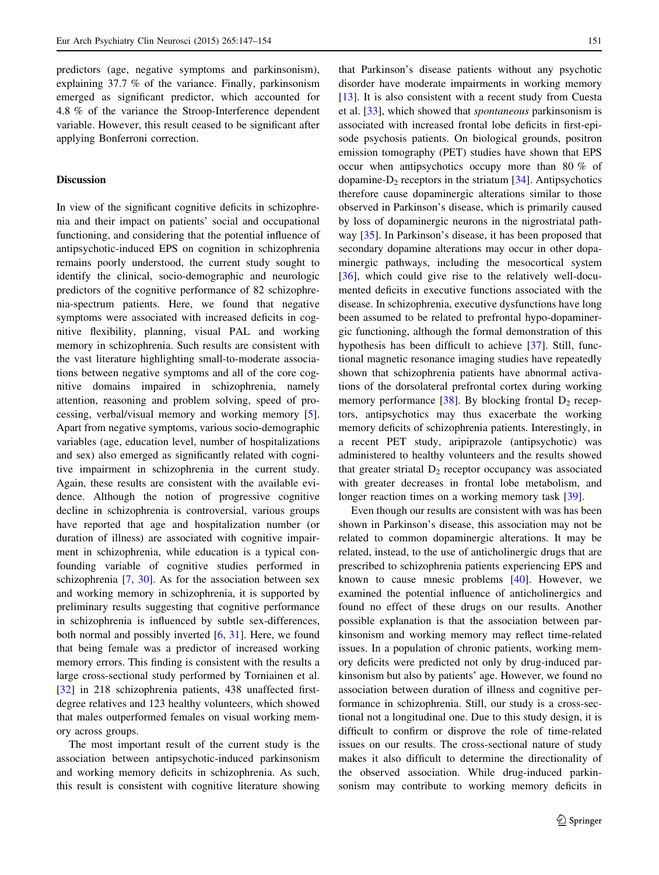predictors (age, negative symptoms and parkinsonism), explaining 37.7 % of the variance. Finally, parkinsonism emerged as significant predictor, which accounted for 4.8 % of the variance the Stroop-Interference dependent variable. However, this result ceased to be significant after applying Bonferroni correction.

## **Discussion**

In view of the significant cognitive deficits in schizophrenia and their impact on patients' social and occupational functioning, and considering that the potential influence of antipsychotic-induced EPS on cognition in schizophrenia remains poorly understood, the current study sought to identify the clinical, socio-demographic and neurologic predictors of the cognitive performance of 82 schizophrenia-spectrum patients. Here, we found that negative symptoms were associated with increased deficits in cognitive flexibility, planning, visual PAL and working memory in schizophrenia. Such results are consistent with the vast literature highlighting small-to-moderate associations between negative symptoms and all of the core cognitive domains impaired in schizophrenia, namely attention, reasoning and problem solving, speed of processing, verbal/visual memory and working memory [\[5](#page-6-0)]. Apart from negative symptoms, various socio-demographic variables (age, education level, number of hospitalizations and sex) also emerged as significantly related with cognitive impairment in schizophrenia in the current study. Again, these results are consistent with the available evidence. Although the notion of progressive cognitive decline in schizophrenia is controversial, various groups have reported that age and hospitalization number (or duration of illness) are associated with cognitive impairment in schizophrenia, while education is a typical confounding variable of cognitive studies performed in schizophrenia [[7,](#page-6-0) [30\]](#page-6-0). As for the association between sex and working memory in schizophrenia, it is supported by preliminary results suggesting that cognitive performance in schizophrenia is influenced by subtle sex-differences, both normal and possibly inverted  $[6, 31]$  $[6, 31]$  $[6, 31]$  $[6, 31]$  $[6, 31]$ . Here, we found that being female was a predictor of increased working memory errors. This finding is consistent with the results a large cross-sectional study performed by Torniainen et al. [\[32](#page-6-0)] in 218 schizophrenia patients, 438 unaffected firstdegree relatives and 123 healthy volunteers, which showed that males outperformed females on visual working memory across groups.

The most important result of the current study is the association between antipsychotic-induced parkinsonism and working memory deficits in schizophrenia. As such, this result is consistent with cognitive literature showing

that Parkinson's disease patients without any psychotic disorder have moderate impairments in working memory [\[13](#page-6-0)]. It is also consistent with a recent study from Cuesta et al. [[33\]](#page-6-0), which showed that spontaneous parkinsonism is associated with increased frontal lobe deficits in first-episode psychosis patients. On biological grounds, positron emission tomography (PET) studies have shown that EPS occur when antipsychotics occupy more than 80 % of dopamine- $D_2$  receptors in the striatum [[34\]](#page-6-0). Antipsychotics therefore cause dopaminergic alterations similar to those observed in Parkinson's disease, which is primarily caused by loss of dopaminergic neurons in the nigrostriatal pathway [[35\]](#page-6-0). In Parkinson's disease, it has been proposed that secondary dopamine alterations may occur in other dopaminergic pathways, including the mesocortical system [\[36](#page-6-0)], which could give rise to the relatively well-documented deficits in executive functions associated with the disease. In schizophrenia, executive dysfunctions have long been assumed to be related to prefrontal hypo-dopaminergic functioning, although the formal demonstration of this hypothesis has been difficult to achieve [[37\]](#page-6-0). Still, functional magnetic resonance imaging studies have repeatedly shown that schizophrenia patients have abnormal activations of the dorsolateral prefrontal cortex during working memory performance [[38\]](#page-6-0). By blocking frontal  $D_2$  receptors, antipsychotics may thus exacerbate the working memory deficits of schizophrenia patients. Interestingly, in a recent PET study, aripiprazole (antipsychotic) was administered to healthy volunteers and the results showed that greater striatal  $D_2$  receptor occupancy was associated with greater decreases in frontal lobe metabolism, and longer reaction times on a working memory task [[39\]](#page-7-0).

Even though our results are consistent with was has been shown in Parkinson's disease, this association may not be related to common dopaminergic alterations. It may be related, instead, to the use of anticholinergic drugs that are prescribed to schizophrenia patients experiencing EPS and known to cause mnesic problems [[40\]](#page-7-0). However, we examined the potential influence of anticholinergics and found no effect of these drugs on our results. Another possible explanation is that the association between parkinsonism and working memory may reflect time-related issues. In a population of chronic patients, working memory deficits were predicted not only by drug-induced parkinsonism but also by patients' age. However, we found no association between duration of illness and cognitive performance in schizophrenia. Still, our study is a cross-sectional not a longitudinal one. Due to this study design, it is difficult to confirm or disprove the role of time-related issues on our results. The cross-sectional nature of study makes it also difficult to determine the directionality of the observed association. While drug-induced parkinsonism may contribute to working memory deficits in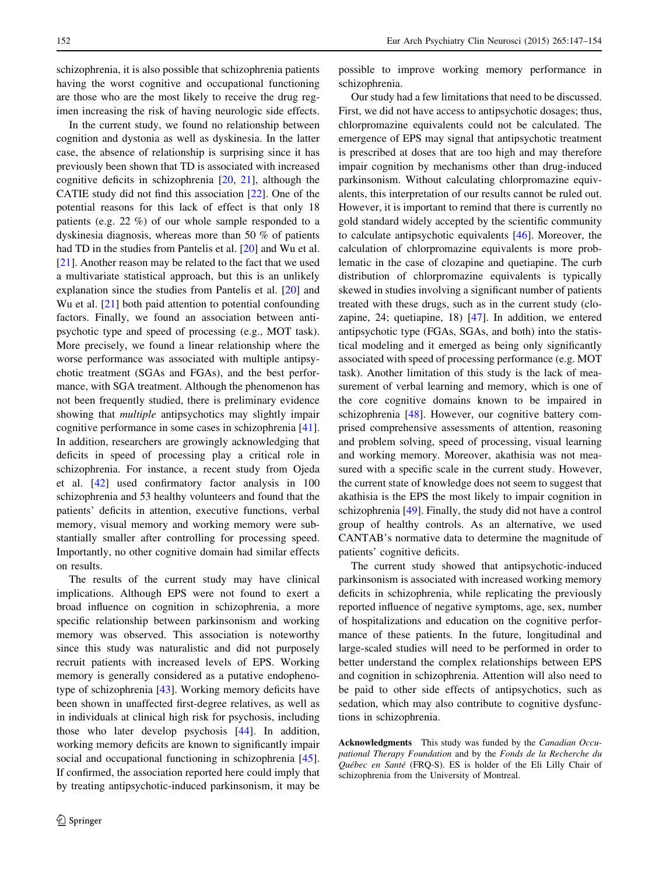schizophrenia, it is also possible that schizophrenia patients having the worst cognitive and occupational functioning are those who are the most likely to receive the drug regimen increasing the risk of having neurologic side effects.

In the current study, we found no relationship between cognition and dystonia as well as dyskinesia. In the latter case, the absence of relationship is surprising since it has previously been shown that TD is associated with increased cognitive deficits in schizophrenia  $[20, 21]$  $[20, 21]$  $[20, 21]$  $[20, 21]$ , although the CATIE study did not find this association [[22\]](#page-6-0). One of the potential reasons for this lack of effect is that only 18 patients (e.g. 22 %) of our whole sample responded to a dyskinesia diagnosis, whereas more than 50 % of patients had TD in the studies from Pantelis et al. [\[20](#page-6-0)] and Wu et al. [\[21](#page-6-0)]. Another reason may be related to the fact that we used a multivariate statistical approach, but this is an unlikely explanation since the studies from Pantelis et al. [[20\]](#page-6-0) and Wu et al. [[21\]](#page-6-0) both paid attention to potential confounding factors. Finally, we found an association between antipsychotic type and speed of processing (e.g., MOT task). More precisely, we found a linear relationship where the worse performance was associated with multiple antipsychotic treatment (SGAs and FGAs), and the best performance, with SGA treatment. Although the phenomenon has not been frequently studied, there is preliminary evidence showing that multiple antipsychotics may slightly impair cognitive performance in some cases in schizophrenia [\[41](#page-7-0)]. In addition, researchers are growingly acknowledging that deficits in speed of processing play a critical role in schizophrenia. For instance, a recent study from Ojeda et al. [\[42](#page-7-0)] used confirmatory factor analysis in 100 schizophrenia and 53 healthy volunteers and found that the patients' deficits in attention, executive functions, verbal memory, visual memory and working memory were substantially smaller after controlling for processing speed. Importantly, no other cognitive domain had similar effects on results.

The results of the current study may have clinical implications. Although EPS were not found to exert a broad influence on cognition in schizophrenia, a more specific relationship between parkinsonism and working memory was observed. This association is noteworthy since this study was naturalistic and did not purposely recruit patients with increased levels of EPS. Working memory is generally considered as a putative endophenotype of schizophrenia [[43\]](#page-7-0). Working memory deficits have been shown in unaffected first-degree relatives, as well as in individuals at clinical high risk for psychosis, including those who later develop psychosis [[44\]](#page-7-0). In addition, working memory deficits are known to significantly impair social and occupational functioning in schizophrenia [\[45](#page-7-0)]. If confirmed, the association reported here could imply that by treating antipsychotic-induced parkinsonism, it may be

possible to improve working memory performance in schizophrenia.

Our study had a few limitations that need to be discussed. First, we did not have access to antipsychotic dosages; thus, chlorpromazine equivalents could not be calculated. The emergence of EPS may signal that antipsychotic treatment is prescribed at doses that are too high and may therefore impair cognition by mechanisms other than drug-induced parkinsonism. Without calculating chlorpromazine equivalents, this interpretation of our results cannot be ruled out. However, it is important to remind that there is currently no gold standard widely accepted by the scientific community to calculate antipsychotic equivalents [[46\]](#page-7-0). Moreover, the calculation of chlorpromazine equivalents is more problematic in the case of clozapine and quetiapine. The curb distribution of chlorpromazine equivalents is typically skewed in studies involving a significant number of patients treated with these drugs, such as in the current study (clozapine, 24; quetiapine, 18) [\[47](#page-7-0)]. In addition, we entered antipsychotic type (FGAs, SGAs, and both) into the statistical modeling and it emerged as being only significantly associated with speed of processing performance (e.g. MOT task). Another limitation of this study is the lack of measurement of verbal learning and memory, which is one of the core cognitive domains known to be impaired in schizophrenia [\[48](#page-7-0)]. However, our cognitive battery comprised comprehensive assessments of attention, reasoning and problem solving, speed of processing, visual learning and working memory. Moreover, akathisia was not measured with a specific scale in the current study. However, the current state of knowledge does not seem to suggest that akathisia is the EPS the most likely to impair cognition in schizophrenia [\[49](#page-7-0)]. Finally, the study did not have a control group of healthy controls. As an alternative, we used CANTAB's normative data to determine the magnitude of patients' cognitive deficits.

The current study showed that antipsychotic-induced parkinsonism is associated with increased working memory deficits in schizophrenia, while replicating the previously reported influence of negative symptoms, age, sex, number of hospitalizations and education on the cognitive performance of these patients. In the future, longitudinal and large-scaled studies will need to be performed in order to better understand the complex relationships between EPS and cognition in schizophrenia. Attention will also need to be paid to other side effects of antipsychotics, such as sedation, which may also contribute to cognitive dysfunctions in schizophrenia.

Acknowledgments This study was funded by the Canadian Occupational Therapy Foundation and by the Fonds de la Recherche du Québec en Santé (FRQ-S). ES is holder of the Eli Lilly Chair of schizophrenia from the University of Montreal.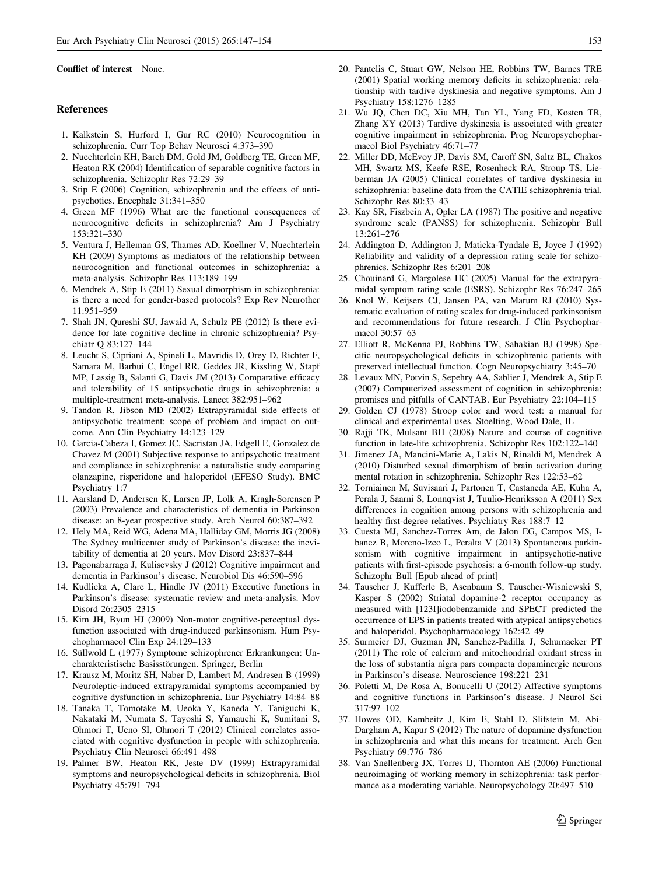#### <span id="page-6-0"></span>Conflict of interest None.

#### References

- 1. Kalkstein S, Hurford I, Gur RC (2010) Neurocognition in schizophrenia. Curr Top Behav Neurosci 4:373–390
- 2. Nuechterlein KH, Barch DM, Gold JM, Goldberg TE, Green MF, Heaton RK (2004) Identification of separable cognitive factors in schizophrenia. Schizophr Res 72:29–39
- 3. Stip E (2006) Cognition, schizophrenia and the effects of antipsychotics. Encephale 31:341–350
- 4. Green MF (1996) What are the functional consequences of neurocognitive deficits in schizophrenia? Am J Psychiatry 153:321–330
- 5. Ventura J, Helleman GS, Thames AD, Koellner V, Nuechterlein KH (2009) Symptoms as mediators of the relationship between neurocognition and functional outcomes in schizophrenia: a meta-analysis. Schizophr Res 113:189–199
- 6. Mendrek A, Stip E (2011) Sexual dimorphism in schizophrenia: is there a need for gender-based protocols? Exp Rev Neurother 11:951–959
- 7. Shah JN, Qureshi SU, Jawaid A, Schulz PE (2012) Is there evidence for late cognitive decline in chronic schizophrenia? Psychiatr Q 83:127–144
- 8. Leucht S, Cipriani A, Spineli L, Mavridis D, Orey D, Richter F, Samara M, Barbui C, Engel RR, Geddes JR, Kissling W, Stapf MP, Lassig B, Salanti G, Davis JM (2013) Comparative efficacy and tolerability of 15 antipsychotic drugs in schizophrenia: a multiple-treatment meta-analysis. Lancet 382:951–962
- 9. Tandon R, Jibson MD (2002) Extrapyramidal side effects of antipsychotic treatment: scope of problem and impact on outcome. Ann Clin Psychiatry 14:123–129
- 10. Garcia-Cabeza I, Gomez JC, Sacristan JA, Edgell E, Gonzalez de Chavez M (2001) Subjective response to antipsychotic treatment and compliance in schizophrenia: a naturalistic study comparing olanzapine, risperidone and haloperidol (EFESO Study). BMC Psychiatry 1:7
- 11. Aarsland D, Andersen K, Larsen JP, Lolk A, Kragh-Sorensen P (2003) Prevalence and characteristics of dementia in Parkinson disease: an 8-year prospective study. Arch Neurol 60:387–392
- 12. Hely MA, Reid WG, Adena MA, Halliday GM, Morris JG (2008) The Sydney multicenter study of Parkinson's disease: the inevitability of dementia at 20 years. Mov Disord 23:837–844
- 13. Pagonabarraga J, Kulisevsky J (2012) Cognitive impairment and dementia in Parkinson's disease. Neurobiol Dis 46:590–596
- 14. Kudlicka A, Clare L, Hindle JV (2011) Executive functions in Parkinson's disease: systematic review and meta-analysis. Mov Disord 26:2305–2315
- 15. Kim JH, Byun HJ (2009) Non-motor cognitive-perceptual dysfunction associated with drug-induced parkinsonism. Hum Psychopharmacol Clin Exp 24:129–133
- 16. Süllwold L (1977) Symptome schizophrener Erkrankungen: Uncharakteristische Basisstörungen. Springer, Berlin
- 17. Krausz M, Moritz SH, Naber D, Lambert M, Andresen B (1999) Neuroleptic-induced extrapyramidal symptoms accompanied by cognitive dysfunction in schizophrenia. Eur Psychiatry 14:84–88
- 18. Tanaka T, Tomotake M, Ueoka Y, Kaneda Y, Taniguchi K, Nakataki M, Numata S, Tayoshi S, Yamauchi K, Sumitani S, Ohmori T, Ueno SI, Ohmori T (2012) Clinical correlates associated with cognitive dysfunction in people with schizophrenia. Psychiatry Clin Neurosci 66:491–498
- 19. Palmer BW, Heaton RK, Jeste DV (1999) Extrapyramidal symptoms and neuropsychological deficits in schizophrenia. Biol Psychiatry 45:791–794
- 20. Pantelis C, Stuart GW, Nelson HE, Robbins TW, Barnes TRE (2001) Spatial working memory deficits in schizophrenia: relationship with tardive dyskinesia and negative symptoms. Am J Psychiatry 158:1276–1285
- 21. Wu JQ, Chen DC, Xiu MH, Tan YL, Yang FD, Kosten TR, Zhang XY (2013) Tardive dyskinesia is associated with greater cognitive impairment in schizophrenia. Prog Neuropsychopharmacol Biol Psychiatry 46:71–77
- 22. Miller DD, McEvoy JP, Davis SM, Caroff SN, Saltz BL, Chakos MH, Swartz MS, Keefe RSE, Rosenheck RA, Stroup TS, Lieberman JA (2005) Clinical correlates of tardive dyskinesia in schizophrenia: baseline data from the CATIE schizophrenia trial. Schizophr Res 80:33–43
- 23. Kay SR, Fiszbein A, Opler LA (1987) The positive and negative syndrome scale (PANSS) for schizophrenia. Schizophr Bull 13:261–276
- 24. Addington D, Addington J, Maticka-Tyndale E, Joyce J (1992) Reliability and validity of a depression rating scale for schizophrenics. Schizophr Res 6:201–208
- 25. Chouinard G, Margolese HC (2005) Manual for the extrapyramidal symptom rating scale (ESRS). Schizophr Res 76:247–265
- 26. Knol W, Keijsers CJ, Jansen PA, van Marum RJ (2010) Systematic evaluation of rating scales for drug-induced parkinsonism and recommendations for future research. J Clin Psychopharmacol 30:57–63
- 27. Elliott R, McKenna PJ, Robbins TW, Sahakian BJ (1998) Specific neuropsychological deficits in schizophrenic patients with preserved intellectual function. Cogn Neuropsychiatry 3:45–70
- 28. Levaux MN, Potvin S, Sepehry AA, Sablier J, Mendrek A, Stip E (2007) Computerized assessment of cognition in schizophrenia: promises and pitfalls of CANTAB. Eur Psychiatry 22:104–115
- 29. Golden CJ (1978) Stroop color and word test: a manual for clinical and experimental uses. Stoelting, Wood Dale, IL
- 30. Rajji TK, Mulsant BH (2008) Nature and course of cognitive function in late-life schizophrenia. Schizophr Res 102:122–140
- 31. Jimenez JA, Mancini-Marie A, Lakis N, Rinaldi M, Mendrek A (2010) Disturbed sexual dimorphism of brain activation during mental rotation in schizophrenia. Schizophr Res 122:53–62
- 32. Torniainen M, Suvisaari J, Partonen T, Castaneda AE, Kuha A, Perala J, Saarni S, Lonnqvist J, Tuulio-Henriksson A (2011) Sex differences in cognition among persons with schizophrenia and healthy first-degree relatives. Psychiatry Res 188:7–12
- 33. Cuesta MJ, Sanchez-Torres Am, de Jalon EG, Campos MS, Ibanez B, Moreno-Izco L, Peralta V (2013) Spontaneous parkinsonism with cognitive impairment in antipsychotic-native patients with first-episode psychosis: a 6-month follow-up study. Schizophr Bull [Epub ahead of print]
- 34. Tauscher J, Kufferle B, Asenbaum S, Tauscher-Wisniewski S, Kasper S (2002) Striatal dopamine-2 receptor occupancy as measured with [123I]iodobenzamide and SPECT predicted the occurrence of EPS in patients treated with atypical antipsychotics and haloperidol. Psychopharmacology 162:42–49
- 35. Surmeier DJ, Guzman JN, Sanchez-Padilla J, Schumacker PT (2011) The role of calcium and mitochondrial oxidant stress in the loss of substantia nigra pars compacta dopaminergic neurons in Parkinson's disease. Neuroscience 198:221–231
- 36. Poletti M, De Rosa A, Bonucelli U (2012) Affective symptoms and cognitive functions in Parkinson's disease. J Neurol Sci 317:97–102
- 37. Howes OD, Kambeitz J, Kim E, Stahl D, Slifstein M, Abi-Dargham A, Kapur S (2012) The nature of dopamine dysfunction in schizophrenia and what this means for treatment. Arch Gen Psychiatry 69:776–786
- 38. Van Snellenberg JX, Torres IJ, Thornton AE (2006) Functional neuroimaging of working memory in schizophrenia: task performance as a moderating variable. Neuropsychology 20:497–510